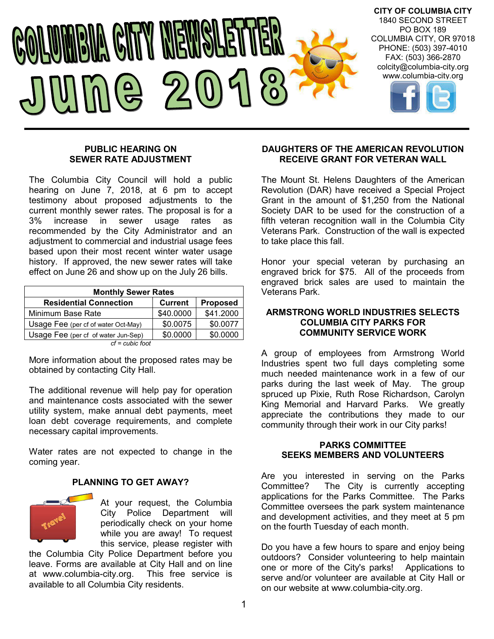

#### **PUBLIC HEARING ON SEWER RATE ADJUSTMENT**

The Columbia City Council will hold a public hearing on June 7, 2018, at 6 pm to accept testimony about proposed adjustments to the current monthly sewer rates. The proposal is for a 3% increase in sewer usage rates as recommended by the City Administrator and an adjustment to commercial and industrial usage fees based upon their most recent winter water usage history. If approved, the new sewer rates will take effect on June 26 and show up on the July 26 bills.

| <b>Monthly Sewer Rates</b>          |                |                 |  |  |
|-------------------------------------|----------------|-----------------|--|--|
| <b>Residential Connection</b>       | <b>Current</b> | <b>Proposed</b> |  |  |
| Minimum Base Rate                   | \$40.0000      | \$41.2000       |  |  |
| Usage Fee (per cf of water Oct-May) | \$0.0075       | \$0.0077        |  |  |
| Usage Fee (per cf of water Jun-Sep) | \$0.0000       | \$0.0000        |  |  |
| $cf = cubic$ foot                   |                |                 |  |  |

*cf = cubic foot*

More information about the proposed rates may be obtained by contacting City Hall.

The additional revenue will help pay for operation and maintenance costs associated with the sewer utility system, make annual debt payments, meet loan debt coverage requirements, and complete necessary capital improvements.

Water rates are not expected to change in the coming year.

## **PLANNING TO GET AWAY?**



At your request, the Columbia City Police Department will periodically check on your home while you are away! To request this service, please register with

the Columbia City Police Department before you leave. Forms are available at City Hall and on line at www.columbia-city.org. available to all Columbia City residents.

## **DAUGHTERS OF THE AMERICAN REVOLUTION RECEIVE GRANT FOR VETERAN WALL**

The Mount St. Helens Daughters of the American Revolution (DAR) have received a Special Project Grant in the amount of \$1,250 from the National Society DAR to be used for the construction of a fifth veteran recognition wall in the Columbia City Veterans Park. Construction of the wall is expected to take place this fall.

Honor your special veteran by purchasing an engraved brick for \$75. All of the proceeds from engraved brick sales are used to maintain the Veterans Park.

#### **ARMSTRONG WORLD INDUSTRIES SELECTS COLUMBIA CITY PARKS FOR COMMUNITY SERVICE WORK**

A group of employees from Armstrong World Industries spent two full days completing some much needed maintenance work in a few of our parks during the last week of May. The group spruced up Pixie, Ruth Rose Richardson, Carolyn King Memorial and Harvard Parks. We greatly appreciate the contributions they made to our community through their work in our City parks!

## **PARKS COMMITTEE SEEKS MEMBERS AND VOLUNTEERS**

Are you interested in serving on the Parks Committee? The City is currently accepting applications for the Parks Committee. The Parks Committee oversees the park system maintenance and development activities, and they meet at 5 pm on the fourth Tuesday of each month.

Do you have a few hours to spare and enjoy being outdoors? Consider volunteering to help maintain one or more of the City's parks! Applications to serve and/or volunteer are available at City Hall or on our website at www.columbia-city.org.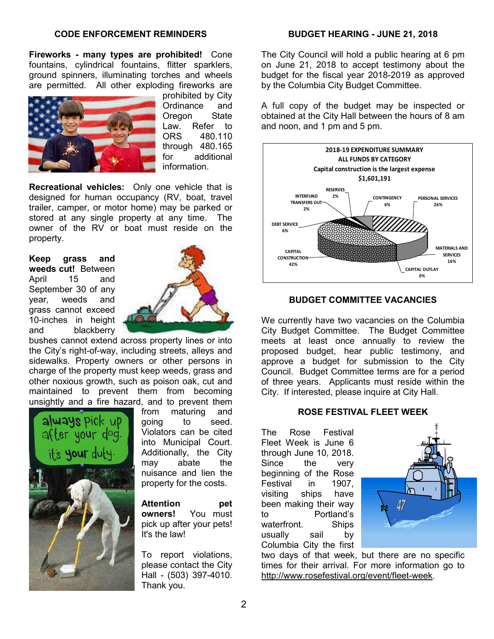#### **CODE ENFORCEMENT REMINDERS**

**Fireworks - many types are prohibited!** Cone fountains, cylindrical fountains, flitter sparklers, ground spinners, illuminating torches and wheels are permitted. All other exploding fireworks are



prohibited by City Ordinance and Oregon State Law. Refer to ORS 480.110 through 480.165 for additional information.

**Recreational vehicles:** Only one vehicle that is designed for human occupancy (RV, boat, travel trailer, camper, or motor home) may be parked or stored at any single property at any time. The owner of the RV or boat must reside on the property.

#### **Keep grass and weeds cut!** Between April 15 and September 30 of any year, weeds and grass cannot exceed 10-inches in height and blackberry



bushes cannot extend across property lines or into the City's right-of-way, including streets, alleys and sidewalks. Property owners or other persons in charge of the property must keep weeds, grass and other noxious growth, such as poison oak, cut and maintained to prevent them from becoming unsightly and a fire hazard, and to prevent them



from maturing and going to seed. Violators can be cited into Municipal Court. Additionally, the City may abate the nuisance and lien the property for the costs.

**Attention pet owners!** You must pick up after your pets! It's the law!

To report violations, please contact the City Hall - (503) 397-4010. Thank you.

#### **BUDGET HEARING - JUNE 21, 2018**

The City Council will hold a public hearing at 6 pm on June 21, 2018 to accept testimony about the budget for the fiscal year 2018-2019 as approved by the Columbia City Budget Committee.

A full copy of the budget may be inspected or obtained at the City Hall between the hours of 8 am and noon, and 1 pm and 5 pm.



#### **BUDGET COMMITTEE VACANCIES**

We currently have two vacancies on the Columbia City Budget Committee. The Budget Committee meets at least once annually to review the proposed budget, hear public testimony, and approve a budget for submission to the City Council. Budget Committee terms are for a period of three years. Applicants must reside within the City. If interested, please inquire at City Hall.

#### **ROSE FESTIVAL FLEET WEEK**

The Rose Festival Fleet Week is June 6 through June 10, 2018. Since the very beginning of the Rose Festival in 1907, visiting ships have been making their way to Portland's waterfront. Ships usually sail by Columbia City the first



two days of that week, but there are no specific times for their arrival. For more information go to http://www.rosefestival.org/event/fleet-week.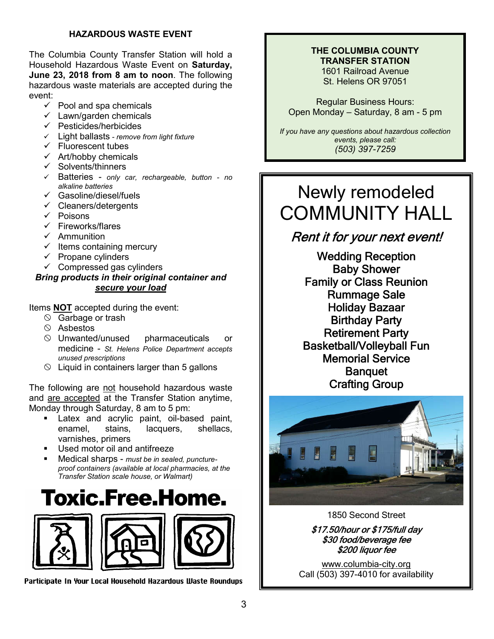## **HAZARDOUS WASTE EVENT**

The Columbia County Transfer Station will hold a Household Hazardous Waste Event on **Saturday, June 23, 2018 from 8 am to noon**. The following hazardous waste materials are accepted during the event:

- $\checkmark$  Pool and spa chemicals
- $\checkmark$  Lawn/garden chemicals
- $\checkmark$  Pesticides/herbicides
- Light ballasts *- remove from light fixture*
- $\checkmark$  Fluorescent tubes
- $\checkmark$  Art/hobby chemicals
- $\checkmark$  Solvents/thinners
- Batteries *only car, rechargeable, button - no alkaline batteries*
- $\checkmark$  Gasoline/diesel/fuels
- $\checkmark$  Cleaners/detergents
- $\checkmark$  Poisons
- $\checkmark$  Fireworks/flares
- $\checkmark$  Ammunition
- $\checkmark$  Items containing mercury
- $\checkmark$  Propane cylinders
- $\checkmark$  Compressed gas cylinders

## *Bring products in their original container and secure your load*

Items **NOT** accepted during the event:

- $\circledcirc$  Garbage or trash
- $\circ$  Asbestos
- $\circledcirc$  Unwanted/unused pharmaceuticals or medicine - *St. Helens Police Department accepts unused prescriptions*
- $\Diamond$  Liquid in containers larger than 5 gallons

The following are not household hazardous waste and are accepted at the Transfer Station anytime, Monday through Saturday, 8 am to 5 pm:

- Latex and acrylic paint, oil-based paint, enamel, stains, lacquers, shellacs, varnishes, primers
- Used motor oil and antifreeze
- Medical sharps *must be in sealed, punctureproof containers (available at local pharmacies, at the Transfer Station scale house, or Walmart)*

# **Toxic.Free.Home.**



Participate In Your Local Household Hazardous Waste Roundups

#### **THE COLUMBIA COUNTY TRANSFER STATION** 1601 Railroad Avenue

St. Helens OR 97051

Regular Business Hours: Open Monday – Saturday, 8 am - 5 pm

*If you have any questions about hazardous collection events, please call: (503) 397-7259*

# Newly remodeled COMMUNITY HALL

# Rent it for your next event!

Wedding Reception Baby Shower Family or Class Reunion Rummage Sale Holiday Bazaar Birthday Party Retirement Party Basketball/Volleyball Fun Memorial Service **Banquet** Crafting Group



#### 1850 Second Street

\$17.50/hour or \$175/full day \$30 food/beverage fee \$200 liquor fee

www.columbia-city.org Call (503) 397-4010 for availability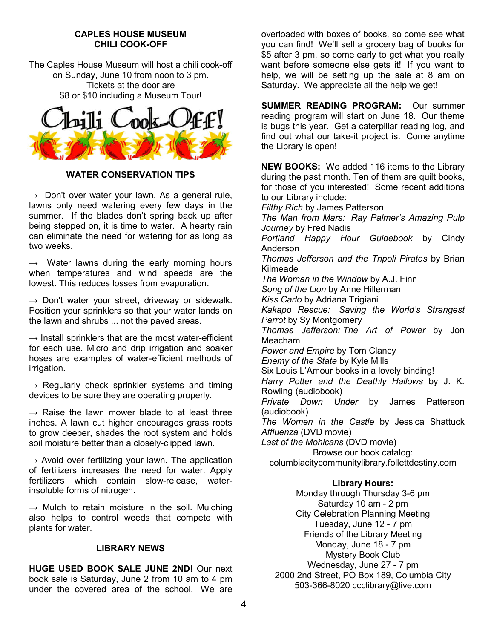#### **CAPLES HOUSE MUSEUM CHILI COOK-OFF**

The Caples House Museum will host a chili cook-off on Sunday, June 10 from noon to 3 pm. Tickets at the door are \$8 or \$10 including a Museum Tour!



#### **WATER CONSERVATION TIPS**

 $\rightarrow$  Don't over water your lawn. As a general rule, lawns only need watering every few days in the summer. If the blades don't spring back up after being stepped on, it is time to water. A hearty rain can eliminate the need for watering for as long as two weeks.

 $\rightarrow$  Water lawns during the early morning hours when temperatures and wind speeds are the lowest. This reduces losses from evaporation.

 $\rightarrow$  Don't water your street, driveway or sidewalk. Position your sprinklers so that your water lands on the lawn and shrubs ... not the paved areas.

 $\rightarrow$  Install sprinklers that are the most water-efficient for each use. Micro and drip irrigation and soaker hoses are examples of water-efficient methods of irrigation.

 $\rightarrow$  Regularly check sprinkler systems and timing devices to be sure they are operating properly.

 $\rightarrow$  Raise the lawn mower blade to at least three inches. A lawn cut higher encourages grass roots to grow deeper, shades the root system and holds soil moisture better than a closely-clipped lawn.

 $\rightarrow$  Avoid over fertilizing your lawn. The application of fertilizers increases the need for water. Apply fertilizers which contain slow-release, waterinsoluble forms of nitrogen.

 $\rightarrow$  Mulch to retain moisture in the soil. Mulching also helps to control weeds that compete with plants for water.

#### **LIBRARY NEWS**

**HUGE USED BOOK SALE JUNE 2ND!** Our next book sale is Saturday, June 2 from 10 am to 4 pm under the covered area of the school. We are

overloaded with boxes of books, so come see what you can find! We'll sell a grocery bag of books for \$5 after 3 pm, so come early to get what you really want before someone else gets it! If you want to help, we will be setting up the sale at 8 am on Saturday. We appreciate all the help we get!

**SUMMER READING PROGRAM:** Our summer reading program will start on June 18. Our theme is bugs this year. Get a caterpillar reading log, and find out what our take-it project is. Come anytime the Library is open!

**NEW BOOKS:** We added 116 items to the Library during the past month. Ten of them are quilt books, for those of you interested! Some recent additions to our Library include: *Filthy Rich* by James Patterson *The Man from Mars: Ray Palmer's Amazing Pulp Journey* by Fred Nadis *Portland Happy Hour Guidebook* by Cindy Anderson *Thomas Jefferson and the Tripoli Pirates* by Brian Kilmeade *The Woman in the Window* by A.J. Finn *Song of the Lion* by Anne Hillerman *Kiss Carlo* by Adriana Trigiani *Kakapo Rescue: Saving the World's Strangest Parrot* by Sy Montgomery *Thomas Jefferson: The Art of Power* by Jon Meacham *Power and Empire* by Tom Clancy *Enemy of the State* by Kyle Mills Six Louis L'Amour books in a lovely binding! *Harry Potter and the Deathly Hallows* by J. K. Rowling (audiobook) *Private Down Under* by James Patterson (audiobook) *The Women in the Castle* by Jessica Shattuck *Affluenza* (DVD movie) *Last of the Mohicans* (DVD movie) Browse our book catalog: columbiacitycommunitylibrary.follettdestiny.com

## **Library Hours:**

Monday through Thursday 3-6 pm Saturday 10 am - 2 pm City Celebration Planning Meeting Tuesday, June 12 - 7 pm Friends of the Library Meeting Monday, June 18 - 7 pm Mystery Book Club Wednesday, June 27 - 7 pm 2000 2nd Street, PO Box 189, Columbia City 503-366-8020 ccclibrary@live.com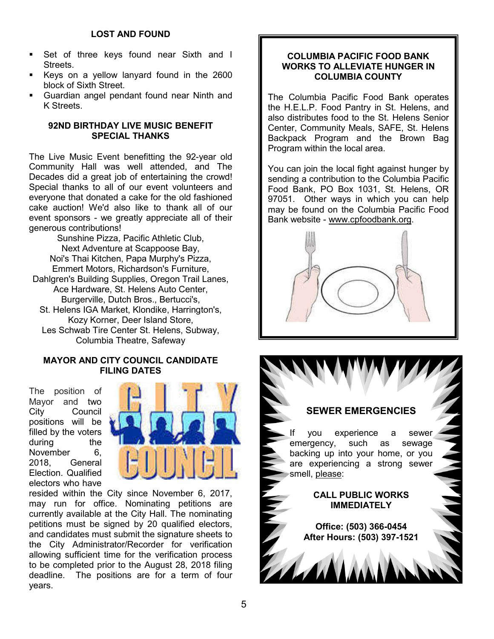- Set of three keys found near Sixth and I Streets.
- Keys on a yellow lanyard found in the 2600 block of Sixth Street.
- Guardian angel pendant found near Ninth and K Streets.

## **92ND BIRTHDAY LIVE MUSIC BENEFIT SPECIAL THANKS**

The Live Music Event benefitting the 92-year old Community Hall was well attended, and The Decades did a great job of entertaining the crowd! Special thanks to all of our event volunteers and everyone that donated a cake for the old fashioned cake auction! We'd also like to thank all of our event sponsors - we greatly appreciate all of their generous contributions!

Sunshine Pizza, Pacific Athletic Club, Next Adventure at Scappoose Bay, Noi's Thai Kitchen, Papa Murphy's Pizza, Emmert Motors, Richardson's Furniture, Dahlgren's Building Supplies, Oregon Trail Lanes, Ace Hardware, St. Helens Auto Center, Burgerville, Dutch Bros., Bertucci's, St. Helens IGA Market, Klondike, Harrington's, Kozy Korner, Deer Island Store, Les Schwab Tire Center St. Helens, Subway, Columbia Theatre, Safeway

## **MAYOR AND CITY COUNCIL CANDIDATE FILING DATES**

The position of Mayor and two City Council positions will be filled by the voters during the November 6. 2018, General Election. Qualified electors who have



resided within the City since November 6, 2017, may run for office. Nominating petitions are currently available at the City Hall. The nominating petitions must be signed by 20 qualified electors, and candidates must submit the signature sheets to the City Administrator/Recorder for verification allowing sufficient time for the verification process to be completed prior to the August 28, 2018 filing deadline. The positions are for a term of four years.

## **COLUMBIA PACIFIC FOOD BANK WORKS TO ALLEVIATE HUNGER IN COLUMBIA COUNTY**

The Columbia Pacific Food Bank operates the H.E.L.P. Food Pantry in St. Helens, and also distributes food to the St. Helens Senior Center, Community Meals, SAFE, St. Helens Backpack Program and the Brown Bag Program within the local area.

You can join the local fight against hunger by sending a contribution to the Columbia Pacific Food Bank, PO Box 1031, St. Helens, OR 97051. Other ways in which you can help may be found on the Columbia Pacific Food Bank website - www.cpfoodbank.org.



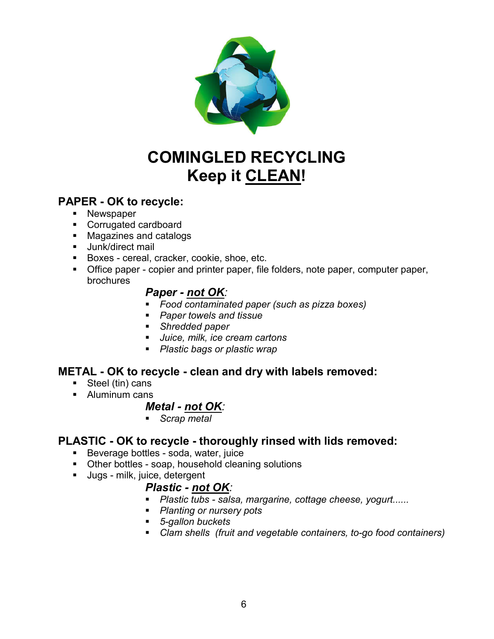

# **COMINGLED RECYCLING Keep it CLEAN!**

# **PAPER - OK to recycle:**

- **Newspaper**
- **Corrugated cardboard**
- Magazines and catalogs
- **Junk/direct mail**
- Boxes cereal, cracker, cookie, shoe, etc.
- Office paper copier and printer paper, file folders, note paper, computer paper, brochures

# *Paper - not OK:*

- *Food contaminated paper (such as pizza boxes)*
- *Paper towels and tissue*
- *Shredded paper*
- *Juice, milk, ice cream cartons*
- *Plastic bags or plastic wrap*

# **METAL - OK to recycle - clean and dry with labels removed:**

- Steel (tin) cans
- **Aluminum cans**

# *Metal - not OK:*

*Scrap metal*

# **PLASTIC - OK to recycle - thoroughly rinsed with lids removed:**

- Beverage bottles soda, water, juice
- **Other bottles soap, household cleaning solutions**
- **Jugs** milk, juice, detergent

# *Plastic - not OK:*

- *Plastic tubs - salsa, margarine, cottage cheese, yogurt......*
- *Planting or nursery pots*
- *5-gallon buckets*
- *Clam shells (fruit and vegetable containers, to-go food containers)*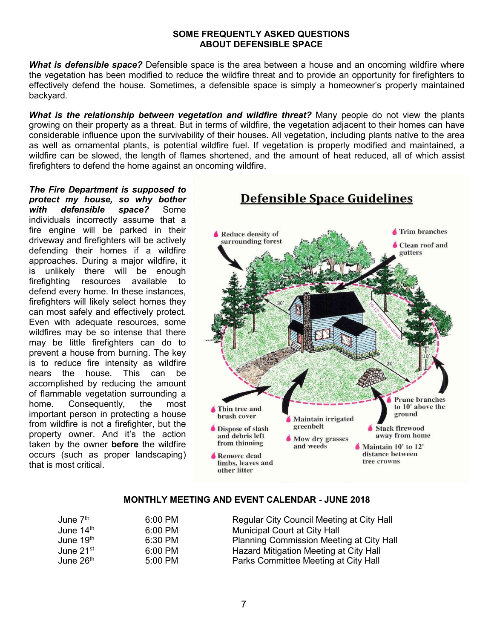### **SOME FREQUENTLY ASKED QUESTIONS ABOUT DEFENSIBLE SPACE**

*What is defensible space?* Defensible space is the area between a house and an oncoming wildfire where the vegetation has been modified to reduce the wildfire threat and to provide an opportunity for firefighters to effectively defend the house. Sometimes, a defensible space is simply a homeowner's properly maintained backyard.

*What is the relationship between vegetation and wildfire threat?* Many people do not view the plants growing on their property as a threat. But in terms of wildfire, the vegetation adjacent to their homes can have considerable influence upon the survivability of their houses. All vegetation, including plants native to the area as well as ornamental plants, is potential wildfire fuel. If vegetation is properly modified and maintained, a wildfire can be slowed, the length of flames shortened, and the amount of heat reduced, all of which assist firefighters to defend the home against an oncoming wildfire.

*The Fire Department is supposed to protect my house, so why bother with defensible space?* Some individuals incorrectly assume that a fire engine will be parked in their driveway and firefighters will be actively defending their homes if a wildfire approaches. During a major wildfire, it is unlikely there will be enough firefighting resources available to defend every home. In these instances, firefighters will likely select homes they can most safely and effectively protect. Even with adequate resources, some wildfires may be so intense that there may be little firefighters can do to prevent a house from burning. The key is to reduce fire intensity as wildfire nears the house. This can be accomplished by reducing the amount of flammable vegetation surrounding a home. Consequently, the most important person in protecting a house from wildfire is not a firefighter, but the property owner. And it's the action taken by the owner **before** the wildfire occurs (such as proper landscaping) that is most critical.



## **MONTHLY MEETING AND EVENT CALENDAR - JUNE 2018**

| June 7 <sup>th</sup>  | 6:00 PM             | Regular City Council Meeting at City Hall |
|-----------------------|---------------------|-------------------------------------------|
| June $14th$           | $6:00$ PM           | <b>Municipal Court at City Hall</b>       |
| June 19th             | 6:30 PM             | Planning Commission Meeting at City Hall  |
| June $21st$           | $6:00 \, \text{PM}$ | Hazard Mitigation Meeting at City Hall    |
| June 26 <sup>th</sup> | 5:00 PM             | Parks Committee Meeting at City Hall      |